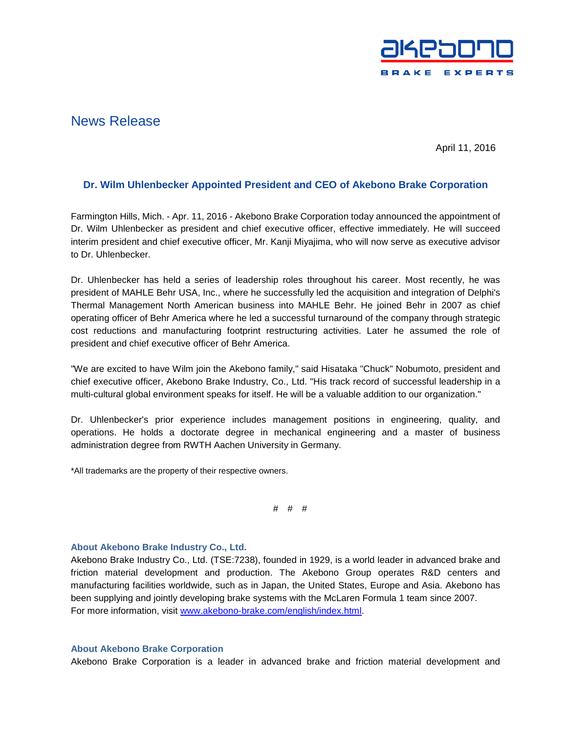

## News Release

April 11, 2016

## **Dr. Wilm Uhlenbecker Appointed President and CEO of Akebono Brake Corporation**

Farmington Hills, Mich. - Apr. 11, 2016 - Akebono Brake Corporation today announced the appointment of Dr. Wilm Uhlenbecker as president and chief executive officer, effective immediately. He will succeed interim president and chief executive officer, Mr. Kanji Miyajima, who will now serve as executive advisor to Dr. Uhlenbecker.

Dr. Uhlenbecker has held a series of leadership roles throughout his career. Most recently, he was president of MAHLE Behr USA, Inc., where he successfully led the acquisition and integration of Delphi's Thermal Management North American business into MAHLE Behr. He joined Behr in 2007 as chief operating officer of Behr America where he led a successful turnaround of the company through strategic cost reductions and manufacturing footprint restructuring activities. Later he assumed the role of president and chief executive officer of Behr America.

"We are excited to have Wilm join the Akebono family," said Hisataka "Chuck" Nobumoto, president and chief executive officer, Akebono Brake Industry, Co., Ltd. "His track record of successful leadership in a multi-cultural global environment speaks for itself. He will be a valuable addition to our organization."

Dr. Uhlenbecker's prior experience includes management positions in engineering, quality, and operations. He holds a doctorate degree in mechanical engineering and a master of business administration degree from RWTH Aachen University in Germany.

\*All trademarks are the property of their respective owners.

# # #

## **About Akebono Brake Industry Co., Ltd.**

Akebono Brake Industry Co., Ltd. (TSE:7238), founded in 1929, is a world leader in advanced brake and friction material development and production. The Akebono Group operates R&D centers and manufacturing facilities worldwide, such as in Japan, the United States, Europe and Asia. Akebono has been supplying and jointly developing brake systems with the McLaren Formula 1 team since 2007. For more information, visit [www.akebono-brake.com/english/index.html.](http://www.akebono-brake.com/english/index.html)

## **About Akebono Brake Corporation**

Akebono Brake Corporation is a leader in advanced brake and friction material development and